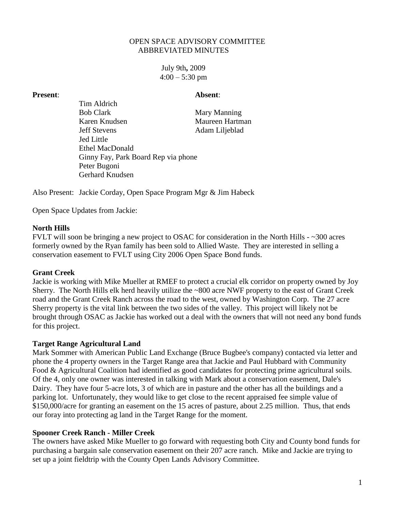## OPEN SPACE ADVISORY COMMITTEE ABBREVIATED MINUTES

July 9th**,** 2009  $4:00 - 5:30$  pm

#### **Present**: **Absent**:

Tim Aldrich Bob Clark Mary Manning Karen Knudsen Maureen Hartman Jeff Stevens Adam Liljeblad Jed Little Ethel MacDonald Ginny Fay, Park Board Rep via phone Peter Bugoni Gerhard Knudsen

Also Present: Jackie Corday, Open Space Program Mgr & Jim Habeck

Open Space Updates from Jackie:

## **North Hills**

FVLT will soon be bringing a new project to OSAC for consideration in the North Hills - ~300 acres formerly owned by the Ryan family has been sold to Allied Waste. They are interested in selling a conservation easement to FVLT using City 2006 Open Space Bond funds.

# **Grant Creek**

Jackie is working with Mike Mueller at RMEF to protect a crucial elk corridor on property owned by Joy Sherry. The North Hills elk herd heavily utilize the ~800 acre NWF property to the east of Grant Creek road and the Grant Creek Ranch across the road to the west, owned by Washington Corp. The 27 acre Sherry property is the vital link between the two sides of the valley. This project will likely not be brought through OSAC as Jackie has worked out a deal with the owners that will not need any bond funds for this project.

#### **Target Range Agricultural Land**

Mark Sommer with American Public Land Exchange (Bruce Bugbee's company) contacted via letter and phone the 4 property owners in the Target Range area that Jackie and Paul Hubbard with Community Food & Agricultural Coalition had identified as good candidates for protecting prime agricultural soils. Of the 4, only one owner was interested in talking with Mark about a conservation easement, Dale's Dairy. They have four 5-acre lots, 3 of which are in pasture and the other has all the buildings and a parking lot. Unfortunately, they would like to get close to the recent appraised fee simple value of \$150,000/acre for granting an easement on the 15 acres of pasture, about 2.25 million. Thus, that ends our foray into protecting ag land in the Target Range for the moment.

# **Spooner Creek Ranch - Miller Creek**

The owners have asked Mike Mueller to go forward with requesting both City and County bond funds for purchasing a bargain sale conservation easement on their 207 acre ranch. Mike and Jackie are trying to set up a joint fieldtrip with the County Open Lands Advisory Committee.